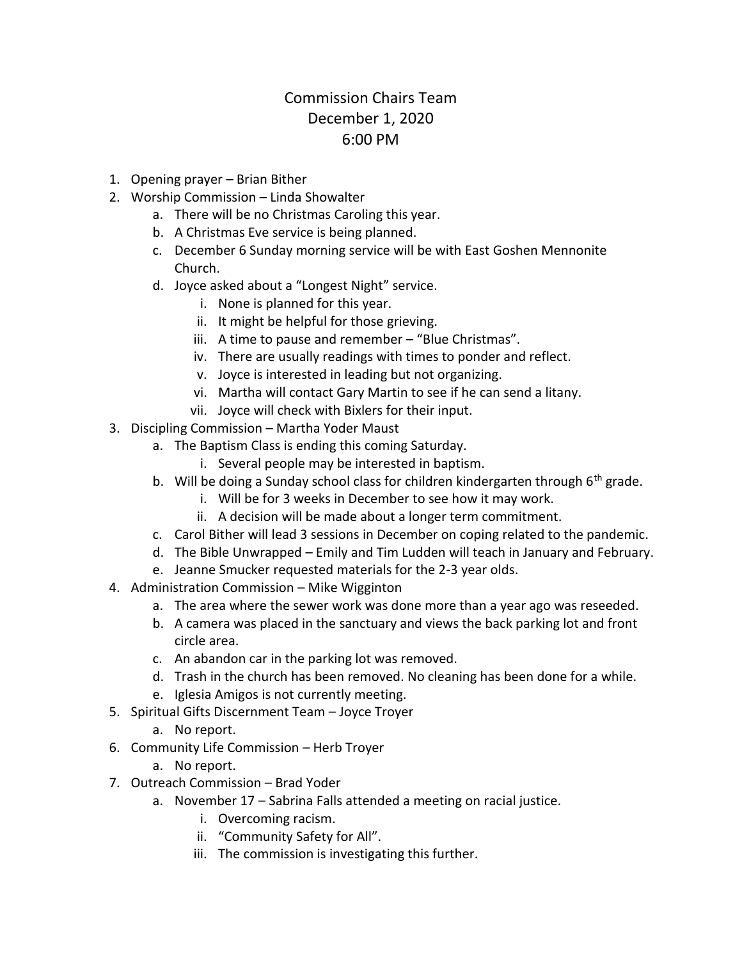## Commission Chairs Team December 1, 2020 6:00 PM

- 1. Opening prayer Brian Bither
- 2. Worship Commission Linda Showalter
	- a. There will be no Christmas Caroling this year.
	- b. A Christmas Eve service is being planned.
	- c. December 6 Sunday morning service will be with East Goshen Mennonite Church.
	- d. Joyce asked about a "Longest Night" service.
		- i. None is planned for this year.
		- ii. It might be helpful for those grieving.
		- iii. A time to pause and remember "Blue Christmas".
		- iv. There are usually readings with times to ponder and reflect.
		- v. Joyce is interested in leading but not organizing.
		- vi. Martha will contact Gary Martin to see if he can send a litany.
		- vii. Joyce will check with Bixlers for their input.
- 3. Discipling Commission Martha Yoder Maust
	- a. The Baptism Class is ending this coming Saturday.
		- i. Several people may be interested in baptism.
	- b. Will be doing a Sunday school class for children kindergarten through  $6<sup>th</sup>$  grade.
		- i. Will be for 3 weeks in December to see how it may work.
		- ii. A decision will be made about a longer term commitment.
	- c. Carol Bither will lead 3 sessions in December on coping related to the pandemic.
	- d. The Bible Unwrapped Emily and Tim Ludden will teach in January and February.
	- e. Jeanne Smucker requested materials for the 2-3 year olds.
- 4. Administration Commission Mike Wigginton
	- a. The area where the sewer work was done more than a year ago was reseeded.
	- b. A camera was placed in the sanctuary and views the back parking lot and front circle area.
	- c. An abandon car in the parking lot was removed.
	- d. Trash in the church has been removed. No cleaning has been done for a while.
	- e. Iglesia Amigos is not currently meeting.
- 5. Spiritual Gifts Discernment Team Joyce Troyer
	- a. No report.
- 6. Community Life Commission Herb Troyer
	- a. No report.
- 7. Outreach Commission Brad Yoder
	- a. November 17 Sabrina Falls attended a meeting on racial justice.
		- i. Overcoming racism.
		- ii. "Community Safety for All".
		- iii. The commission is investigating this further.